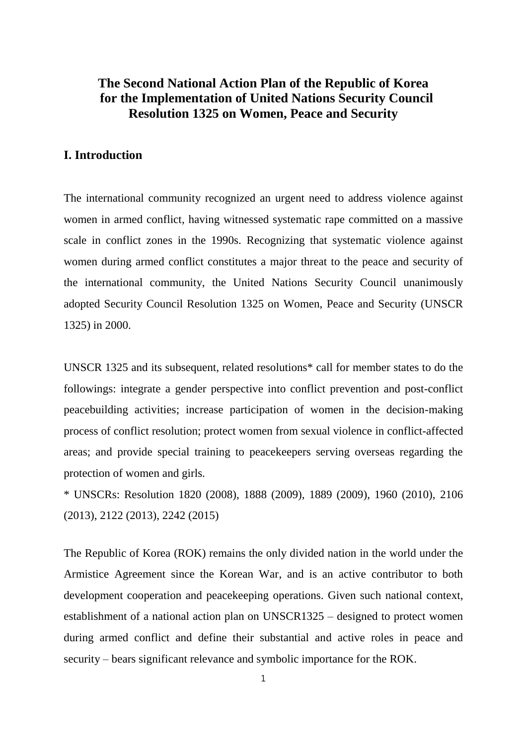# **The Second National Action Plan of the Republic of Korea for the Implementation of United Nations Security Council Resolution 1325 on Women, Peace and Security**

## **I. Introduction**

The international community recognized an urgent need to address violence against women in armed conflict, having witnessed systematic rape committed on a massive scale in conflict zones in the 1990s. Recognizing that systematic violence against women during armed conflict constitutes a major threat to the peace and security of the international community, the United Nations Security Council unanimously adopted Security Council Resolution 1325 on Women, Peace and Security (UNSCR 1325) in 2000.

UNSCR 1325 and its subsequent, related resolutions\* call for member states to do the followings: integrate a gender perspective into conflict prevention and post-conflict peacebuilding activities; increase participation of women in the decision-making process of conflict resolution; protect women from sexual violence in conflict-affected areas; and provide special training to peacekeepers serving overseas regarding the protection of women and girls.

\* UNSCRs: Resolution 1820 (2008), 1888 (2009), 1889 (2009), 1960 (2010), 2106 (2013), 2122 (2013), 2242 (2015)

The Republic of Korea (ROK) remains the only divided nation in the world under the Armistice Agreement since the Korean War, and is an active contributor to both development cooperation and peacekeeping operations. Given such national context, establishment of a national action plan on UNSCR1325 – designed to protect women during armed conflict and define their substantial and active roles in peace and security – bears significant relevance and symbolic importance for the ROK.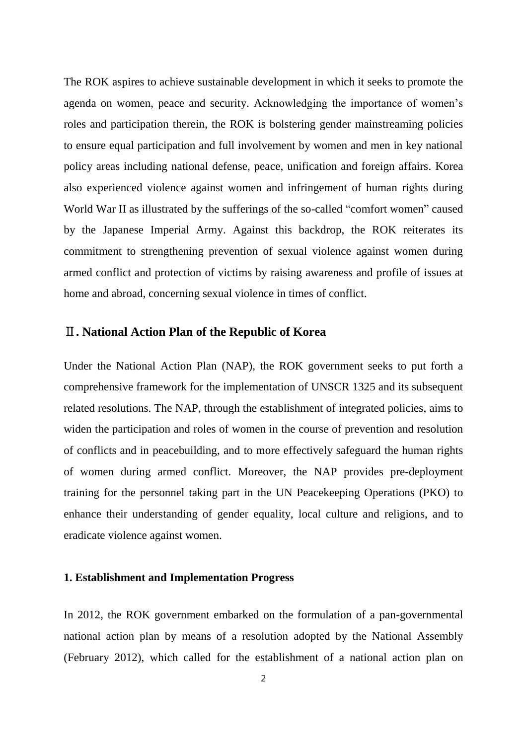The ROK aspires to achieve sustainable development in which it seeks to promote the agenda on women, peace and security. Acknowledging the importance of women's roles and participation therein, the ROK is bolstering gender mainstreaming policies to ensure equal participation and full involvement by women and men in key national policy areas including national defense, peace, unification and foreign affairs. Korea also experienced violence against women and infringement of human rights during World War II as illustrated by the sufferings of the so-called "comfort women" caused by the Japanese Imperial Army. Against this backdrop, the ROK reiterates its commitment to strengthening prevention of sexual violence against women during armed conflict and protection of victims by raising awareness and profile of issues at home and abroad, concerning sexual violence in times of conflict.

#### Ⅱ**. National Action Plan of the Republic of Korea**

Under the National Action Plan (NAP), the ROK government seeks to put forth a comprehensive framework for the implementation of UNSCR 1325 and its subsequent related resolutions. The NAP, through the establishment of integrated policies, aims to widen the participation and roles of women in the course of prevention and resolution of conflicts and in peacebuilding, and to more effectively safeguard the human rights of women during armed conflict. Moreover, the NAP provides pre-deployment training for the personnel taking part in the UN Peacekeeping Operations (PKO) to enhance their understanding of gender equality, local culture and religions, and to eradicate violence against women.

#### **1. Establishment and Implementation Progress**

In 2012, the ROK government embarked on the formulation of a pan-governmental national action plan by means of a resolution adopted by the National Assembly (February 2012), which called for the establishment of a national action plan on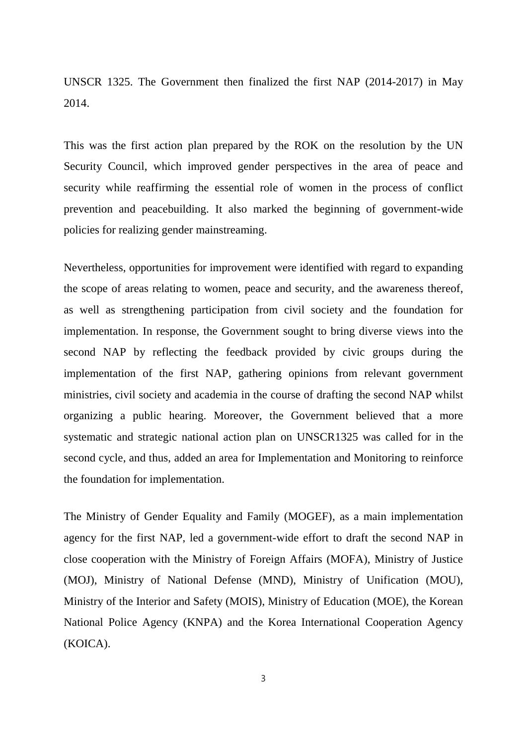UNSCR 1325. The Government then finalized the first NAP (2014-2017) in May 2014.

This was the first action plan prepared by the ROK on the resolution by the UN Security Council, which improved gender perspectives in the area of peace and security while reaffirming the essential role of women in the process of conflict prevention and peacebuilding. It also marked the beginning of government-wide policies for realizing gender mainstreaming.

Nevertheless, opportunities for improvement were identified with regard to expanding the scope of areas relating to women, peace and security, and the awareness thereof, as well as strengthening participation from civil society and the foundation for implementation. In response, the Government sought to bring diverse views into the second NAP by reflecting the feedback provided by civic groups during the implementation of the first NAP, gathering opinions from relevant government ministries, civil society and academia in the course of drafting the second NAP whilst organizing a public hearing. Moreover, the Government believed that a more systematic and strategic national action plan on UNSCR1325 was called for in the second cycle, and thus, added an area for Implementation and Monitoring to reinforce the foundation for implementation.

The Ministry of Gender Equality and Family (MOGEF), as a main implementation agency for the first NAP, led a government-wide effort to draft the second NAP in close cooperation with the Ministry of Foreign Affairs (MOFA), Ministry of Justice (MOJ), Ministry of National Defense (MND), Ministry of Unification (MOU), Ministry of the Interior and Safety (MOIS), Ministry of Education (MOE), the Korean National Police Agency (KNPA) and the Korea International Cooperation Agency (KOICA).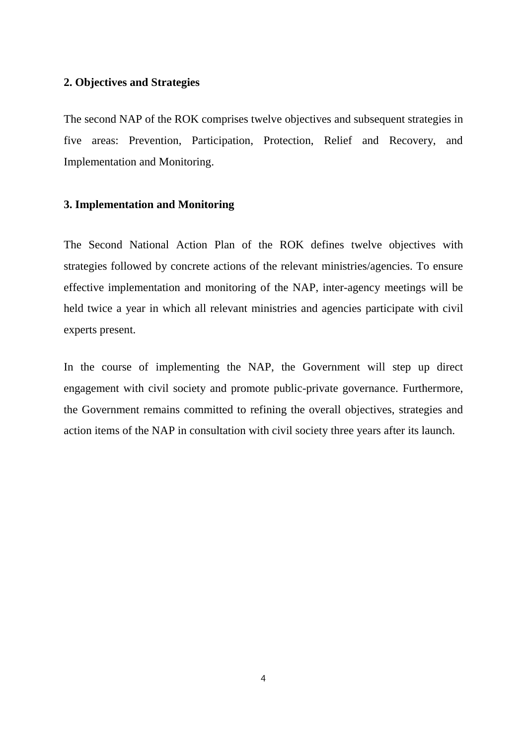### **2. Objectives and Strategies**

The second NAP of the ROK comprises twelve objectives and subsequent strategies in five areas: Prevention, Participation, Protection, Relief and Recovery, and Implementation and Monitoring.

#### **3. Implementation and Monitoring**

The Second National Action Plan of the ROK defines twelve objectives with strategies followed by concrete actions of the relevant ministries/agencies. To ensure effective implementation and monitoring of the NAP, inter-agency meetings will be held twice a year in which all relevant ministries and agencies participate with civil experts present.

In the course of implementing the NAP, the Government will step up direct engagement with civil society and promote public-private governance. Furthermore, the Government remains committed to refining the overall objectives, strategies and action items of the NAP in consultation with civil society three years after its launch.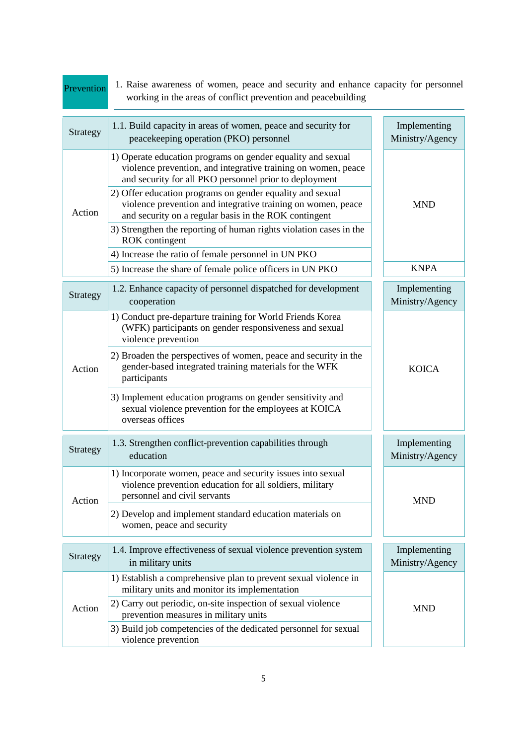| Prevention | 1. Raise awareness of women, peace and security and enhance capacity for personnel<br>working in the areas of conflict prevention and peacebuilding                                                                                                                                                                                                                                                                                                                                                                                |  |                                 |
|------------|------------------------------------------------------------------------------------------------------------------------------------------------------------------------------------------------------------------------------------------------------------------------------------------------------------------------------------------------------------------------------------------------------------------------------------------------------------------------------------------------------------------------------------|--|---------------------------------|
| Strategy   | 1.1. Build capacity in areas of women, peace and security for<br>peacekeeping operation (PKO) personnel                                                                                                                                                                                                                                                                                                                                                                                                                            |  | Implementing<br>Ministry/Agency |
| Action     | 1) Operate education programs on gender equality and sexual<br>violence prevention, and integrative training on women, peace<br>and security for all PKO personnel prior to deployment<br>2) Offer education programs on gender equality and sexual<br>violence prevention and integrative training on women, peace<br>and security on a regular basis in the ROK contingent<br>3) Strengthen the reporting of human rights violation cases in the<br><b>ROK</b> contingent<br>4) Increase the ratio of female personnel in UN PKO |  | <b>MND</b>                      |
|            | 5) Increase the share of female police officers in UN PKO                                                                                                                                                                                                                                                                                                                                                                                                                                                                          |  | <b>KNPA</b>                     |
| Strategy   | 1.2. Enhance capacity of personnel dispatched for development<br>cooperation                                                                                                                                                                                                                                                                                                                                                                                                                                                       |  | Implementing<br>Ministry/Agency |
| Action     | 1) Conduct pre-departure training for World Friends Korea<br>(WFK) participants on gender responsiveness and sexual<br>violence prevention<br>2) Broaden the perspectives of women, peace and security in the<br>gender-based integrated training materials for the WFK<br>participants<br>3) Implement education programs on gender sensitivity and<br>sexual violence prevention for the employees at KOICA<br>overseas offices                                                                                                  |  | <b>KOICA</b>                    |
| Strategy   | 1.3. Strengthen conflict-prevention capabilities through<br>education                                                                                                                                                                                                                                                                                                                                                                                                                                                              |  | Implementing<br>Ministry/Agency |
| Action     | 1) Incorporate women, peace and security issues into sexual<br>violence prevention education for all soldiers, military<br>personnel and civil servants<br>2) Develop and implement standard education materials on<br>women, peace and security                                                                                                                                                                                                                                                                                   |  | <b>MND</b>                      |
| Strategy   | 1.4. Improve effectiveness of sexual violence prevention system<br>in military units                                                                                                                                                                                                                                                                                                                                                                                                                                               |  | Implementing<br>Ministry/Agency |
| Action     | 1) Establish a comprehensive plan to prevent sexual violence in<br>military units and monitor its implementation<br>2) Carry out periodic, on-site inspection of sexual violence<br>prevention measures in military units<br>3) Build job competencies of the dedicated personnel for sexual<br>violence prevention                                                                                                                                                                                                                |  | <b>MND</b>                      |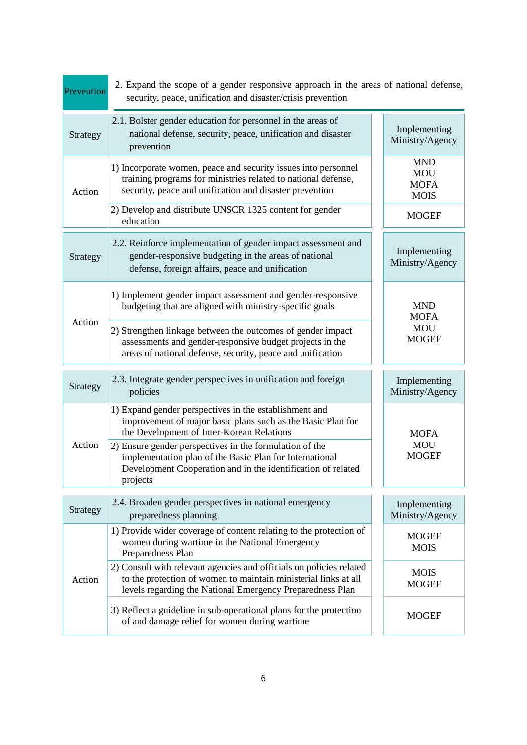| Prevention | 2. Expand the scope of a gender responsive approach in the areas of national defense,<br>security, peace, unification and disaster/crisis prevention                                                |                                                        |  |
|------------|-----------------------------------------------------------------------------------------------------------------------------------------------------------------------------------------------------|--------------------------------------------------------|--|
| Strategy   | 2.1. Bolster gender education for personnel in the areas of<br>national defense, security, peace, unification and disaster<br>prevention                                                            | Implementing<br>Ministry/Agency                        |  |
| Action     | 1) Incorporate women, peace and security issues into personnel<br>training programs for ministries related to national defense,<br>security, peace and unification and disaster prevention          | <b>MND</b><br><b>MOU</b><br><b>MOFA</b><br><b>MOIS</b> |  |
|            | 2) Develop and distribute UNSCR 1325 content for gender<br>education                                                                                                                                | <b>MOGEF</b>                                           |  |
| Strategy   | 2.2. Reinforce implementation of gender impact assessment and<br>gender-responsive budgeting in the areas of national<br>defense, foreign affairs, peace and unification                            | Implementing<br>Ministry/Agency                        |  |
|            | 1) Implement gender impact assessment and gender-responsive<br>budgeting that are aligned with ministry-specific goals                                                                              | <b>MND</b><br><b>MOFA</b>                              |  |
| Action     | 2) Strengthen linkage between the outcomes of gender impact<br>assessments and gender-responsive budget projects in the<br>areas of national defense, security, peace and unification               | <b>MOU</b><br><b>MOGEF</b>                             |  |
| Strategy   | 2.3. Integrate gender perspectives in unification and foreign<br>policies                                                                                                                           | Implementing<br>Ministry/Agency                        |  |
|            | 1) Expand gender perspectives in the establishment and<br>improvement of major basic plans such as the Basic Plan for<br>the Development of Inter-Korean Relations                                  | <b>MOFA</b>                                            |  |
| Action     | 2) Ensure gender perspectives in the formulation of the<br>implementation plan of the Basic Plan for International<br>Development Cooperation and in the identification of related<br>projects      | <b>MOU</b><br><b>MOGEF</b>                             |  |
| Strategy   | 2.4. Broaden gender perspectives in national emergency<br>preparedness planning                                                                                                                     | Implementing<br>Ministry/Agency                        |  |
| Action     | 1) Provide wider coverage of content relating to the protection of<br>women during wartime in the National Emergency<br>Preparedness Plan                                                           | <b>MOGEF</b><br><b>MOIS</b>                            |  |
|            | 2) Consult with relevant agencies and officials on policies related<br>to the protection of women to maintain ministerial links at all<br>levels regarding the National Emergency Preparedness Plan | <b>MOIS</b><br><b>MOGEF</b>                            |  |
|            | 3) Reflect a guideline in sub-operational plans for the protection<br>of and damage relief for women during wartime                                                                                 | <b>MOGEF</b>                                           |  |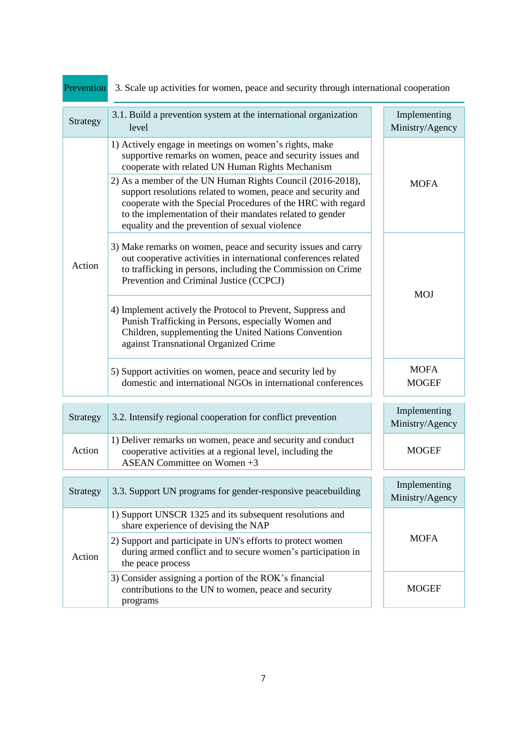| Prevention | 3. Scale up activities for women, peace and security through international cooperation                                                                                                                                                                                                                                                                                                                                                                                                |                                 |  |  |
|------------|---------------------------------------------------------------------------------------------------------------------------------------------------------------------------------------------------------------------------------------------------------------------------------------------------------------------------------------------------------------------------------------------------------------------------------------------------------------------------------------|---------------------------------|--|--|
| Strategy   | 3.1. Build a prevention system at the international organization<br>level                                                                                                                                                                                                                                                                                                                                                                                                             | Implementing<br>Ministry/Agency |  |  |
| Action     | 1) Actively engage in meetings on women's rights, make<br>supportive remarks on women, peace and security issues and<br>cooperate with related UN Human Rights Mechanism<br>2) As a member of the UN Human Rights Council (2016-2018),<br>support resolutions related to women, peace and security and<br>cooperate with the Special Procedures of the HRC with regard<br>to the implementation of their mandates related to gender<br>equality and the prevention of sexual violence | <b>MOFA</b>                     |  |  |
|            | 3) Make remarks on women, peace and security issues and carry<br>out cooperative activities in international conferences related<br>to trafficking in persons, including the Commission on Crime<br>Prevention and Criminal Justice (CCPCJ)                                                                                                                                                                                                                                           | <b>MOJ</b>                      |  |  |
|            | 4) Implement actively the Protocol to Prevent, Suppress and<br>Punish Trafficking in Persons, especially Women and<br>Children, supplementing the United Nations Convention<br>against Transnational Organized Crime                                                                                                                                                                                                                                                                  |                                 |  |  |
|            | 5) Support activities on women, peace and security led by<br>domestic and international NGOs in international conferences                                                                                                                                                                                                                                                                                                                                                             | <b>MOFA</b><br><b>MOGEF</b>     |  |  |
| Strategy   | 3.2. Intensify regional cooperation for conflict prevention                                                                                                                                                                                                                                                                                                                                                                                                                           | Implementing<br>Ministry/Agency |  |  |
| Action     | 1) Deliver remarks on women, peace and security and conduct<br>cooperative activities at a regional level, including the<br>ASEAN Committee on Women +3                                                                                                                                                                                                                                                                                                                               | <b>MOGEF</b>                    |  |  |
| Strategy   | 3.3. Support UN programs for gender-responsive peacebuilding                                                                                                                                                                                                                                                                                                                                                                                                                          | Implementing<br>Ministry/Agency |  |  |
| Action     | 1) Support UNSCR 1325 and its subsequent resolutions and<br>share experience of devising the NAP<br>2) Support and participate in UN's efforts to protect women<br>during armed conflict and to secure women's participation in<br>the peace process                                                                                                                                                                                                                                  | <b>MOFA</b>                     |  |  |
|            | 3) Consider assigning a portion of the ROK's financial<br>contributions to the UN to women, peace and security<br>programs                                                                                                                                                                                                                                                                                                                                                            | <b>MOGEF</b>                    |  |  |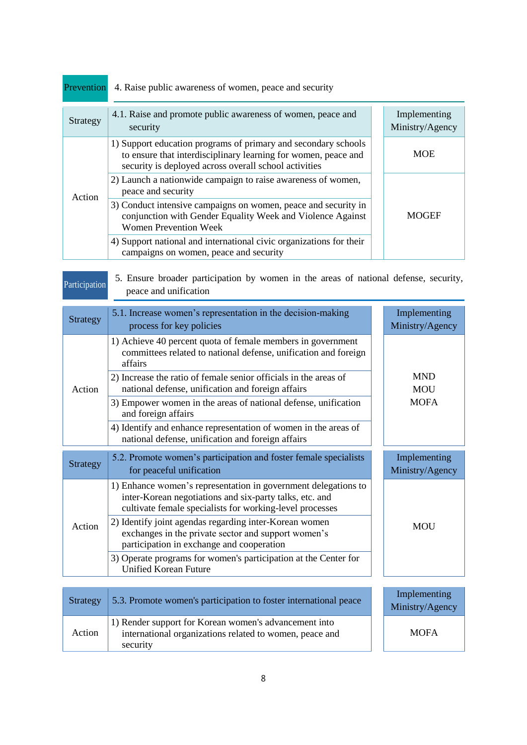| Prevention | 4. Raise public awareness of women, peace and security                                                                                                                                    |                                 |
|------------|-------------------------------------------------------------------------------------------------------------------------------------------------------------------------------------------|---------------------------------|
| Strategy   | 4.1. Raise and promote public awareness of women, peace and<br>security                                                                                                                   | Implementing<br>Ministry/Agency |
| Action     | 1) Support education programs of primary and secondary schools<br>to ensure that interdisciplinary learning for women, peace and<br>security is deployed across overall school activities | <b>MOE</b>                      |
|            | 2) Launch a nationwide campaign to raise awareness of women,<br>peace and security                                                                                                        |                                 |
|            | 3) Conduct intensive campaigns on women, peace and security in<br>conjunction with Gender Equality Week and Violence Against<br><b>Women Prevention Week</b>                              | <b>MOGEF</b>                    |
|            | 4) Support national and international civic organizations for their<br>campaigns on women, peace and security                                                                             |                                 |

| Participation   | 5. Ensure broader participation by women in the areas of national defense, security,<br>peace and unification                                                                         |                                 |
|-----------------|---------------------------------------------------------------------------------------------------------------------------------------------------------------------------------------|---------------------------------|
| <b>Strategy</b> | 5.1. Increase women's representation in the decision-making<br>process for key policies                                                                                               | Implementing<br>Ministry/Agency |
|                 | 1) Achieve 40 percent quota of female members in government<br>committees related to national defense, unification and foreign<br>affairs                                             |                                 |
| Action          | 2) Increase the ratio of female senior officials in the areas of<br>national defense, unification and foreign affairs                                                                 | <b>MND</b><br><b>MOU</b>        |
|                 | 3) Empower women in the areas of national defense, unification<br>and foreign affairs                                                                                                 | <b>MOFA</b>                     |
|                 | 4) Identify and enhance representation of women in the areas of<br>national defense, unification and foreign affairs                                                                  |                                 |
| <b>Strategy</b> | 5.2. Promote women's participation and foster female specialists<br>for peaceful unification                                                                                          | Implementing<br>Ministry/Agency |
| Action          | 1) Enhance women's representation in government delegations to<br>inter-Korean negotiations and six-party talks, etc. and<br>cultivate female specialists for working-level processes |                                 |
|                 | 2) Identify joint agendas regarding inter-Korean women<br>exchanges in the private sector and support women's<br>participation in exchange and cooperation                            | <b>MOU</b>                      |
|                 | 3) Operate programs for women's participation at the Center for<br><b>Unified Korean Future</b>                                                                                       |                                 |
|                 |                                                                                                                                                                                       |                                 |

| Strategy | 5.3. Promote women's participation to foster international peace                                                             | Implementing<br>Ministry/Agency |
|----------|------------------------------------------------------------------------------------------------------------------------------|---------------------------------|
| Action   | 1) Render support for Korean women's advancement into<br>international organizations related to women, peace and<br>security | <b>MOFA</b>                     |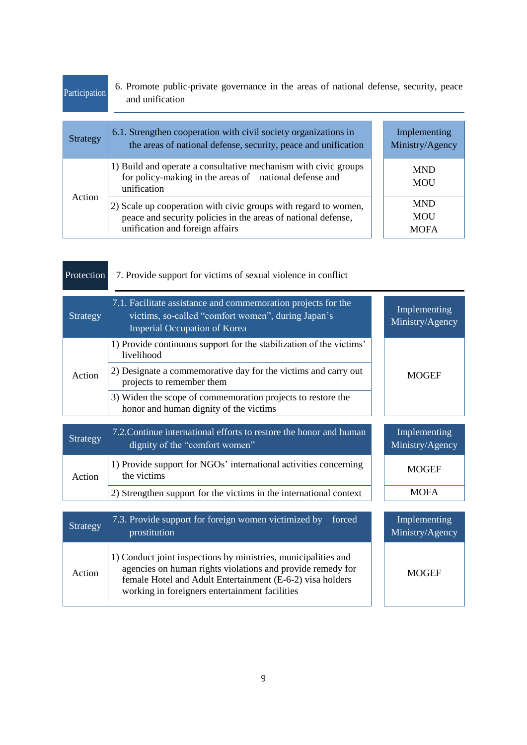| Participation   | 6. Promote public-private governance in the areas of national defense, security, peace<br>and unification                                                           |                                         |
|-----------------|---------------------------------------------------------------------------------------------------------------------------------------------------------------------|-----------------------------------------|
| <b>Strategy</b> | 6.1. Strengthen cooperation with civil society organizations in<br>the areas of national defense, security, peace and unification                                   | Implementing<br>Ministry/Agency         |
| Action          | 1) Build and operate a consultative mechanism with civic groups<br>for policy-making in the areas of national defense and<br>unification                            | <b>MND</b><br><b>MOU</b>                |
|                 | 2) Scale up cooperation with civic groups with regard to women,<br>peace and security policies in the areas of national defense,<br>unification and foreign affairs | <b>MND</b><br><b>MOU</b><br><b>MOFA</b> |

| Protection | 7. Provide support for victims of sexual violence in conflict.                                                                                             |                                 |
|------------|------------------------------------------------------------------------------------------------------------------------------------------------------------|---------------------------------|
| Strategy   | 7.1. Facilitate assistance and commemoration projects for the<br>victims, so-called "comfort women", during Japan's<br><b>Imperial Occupation of Korea</b> | Implementing<br>Ministry/Agency |
| Action     | 1) Provide continuous support for the stabilization of the victims'<br>livelihood                                                                          |                                 |
|            | 2) Designate a commemorative day for the victims and carry out<br>projects to remember them                                                                | <b>MOGEF</b>                    |
|            | 3) Widen the scope of commemoration projects to restore the<br>honor and human dignity of the victims                                                      |                                 |
|            |                                                                                                                                                            |                                 |
| Strategy   | 7.2. Continue international efforts to restore the honor and human<br>dignity of the "comfort women"                                                       | Implementing<br>Ministry/Agency |
| Action     | 1) Provide support for NGOs' international activities concerning<br>the victims                                                                            | <b>MOGEF</b>                    |
|            | 2) Strengthen support for the victims in the international context                                                                                         | <b>MOFA</b>                     |

| Strategy | 7.3. Provide support for foreign women victimized by<br>forced<br>prostitution                                                                                                                                                              | Implementing<br>Ministry/Agency |
|----------|---------------------------------------------------------------------------------------------------------------------------------------------------------------------------------------------------------------------------------------------|---------------------------------|
| Action   | 1) Conduct joint inspections by ministries, municipalities and<br>agencies on human rights violations and provide remedy for<br>female Hotel and Adult Entertainment (E-6-2) visa holders<br>working in foreigners entertainment facilities | <b>MOGEF</b>                    |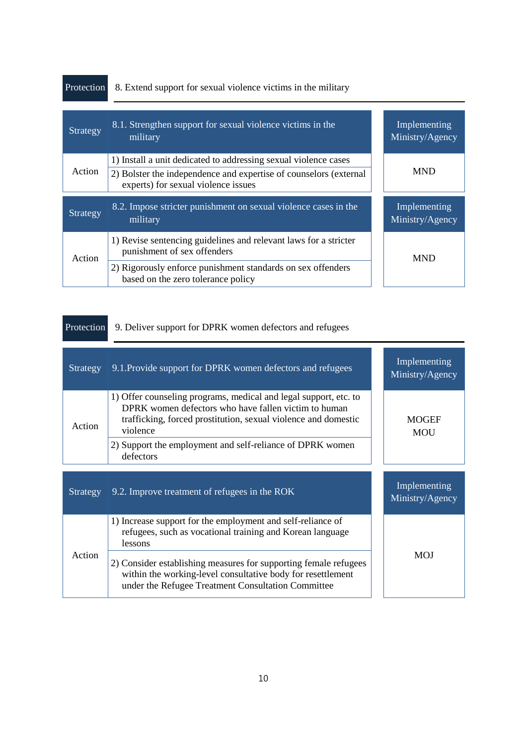| Protection | 8. Extend support for sexual violence victims in the military                                            |                                 |
|------------|----------------------------------------------------------------------------------------------------------|---------------------------------|
| Strategy   | 8.1. Strengthen support for sexual violence victims in the<br>military                                   | Implementing<br>Ministry/Agency |
|            | 1) Install a unit dedicated to addressing sexual violence cases                                          |                                 |
| Action     | 2) Bolster the independence and expertise of counselors (external<br>experts) for sexual violence issues | <b>MND</b>                      |
| Strategy   | 8.2. Impose stricter punishment on sexual violence cases in the<br>military                              | Implementing<br>Ministry/Agency |
| Action     | 1) Revise sentencing guidelines and relevant laws for a stricter<br>punishment of sex offenders          | <b>MND</b>                      |
|            | 2) Rigorously enforce punishment standards on sex offenders<br>based on the zero tolerance policy        |                                 |

п

 $\overline{\phantom{0}}$ 

÷

| Protection | 9. Deliver support for DPRK women defectors and refugees                                                                                                                                               |                                 |
|------------|--------------------------------------------------------------------------------------------------------------------------------------------------------------------------------------------------------|---------------------------------|
| Strategy   | 9.1. Provide support for DPRK women defectors and refugees                                                                                                                                             | Implementing<br>Ministry/Agency |
| Action     | 1) Offer counseling programs, medical and legal support, etc. to<br>DPRK women defectors who have fallen victim to human<br>trafficking, forced prostitution, sexual violence and domestic<br>violence | <b>MOGEF</b><br><b>MOU</b>      |
|            | 2) Support the employment and self-reliance of DPRK women<br>defectors                                                                                                                                 |                                 |
| Strategy   | 9.2. Improve treatment of refugees in the ROK                                                                                                                                                          | Implementing<br>Ministry/Agency |
| Action     | 1) Increase support for the employment and self-reliance of<br>refugees, such as vocational training and Korean language<br>lessons                                                                    |                                 |
|            | 2) Consider establishing measures for supporting female refugees<br>within the working-level consultative body for resettlement<br>under the Refugee Treatment Consultation Committee                  | <b>MOJ</b>                      |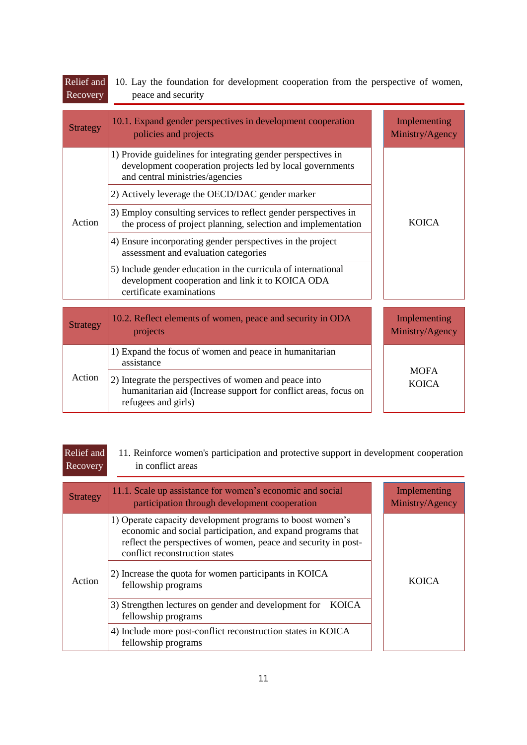| Recovery        | peace and security                                                                                                                                           |                                 |
|-----------------|--------------------------------------------------------------------------------------------------------------------------------------------------------------|---------------------------------|
| <b>Strategy</b> | 10.1. Expand gender perspectives in development cooperation<br>policies and projects                                                                         | Implementing<br>Ministry/Agency |
|                 | 1) Provide guidelines for integrating gender perspectives in<br>development cooperation projects led by local governments<br>and central ministries/agencies |                                 |
|                 | 2) Actively leverage the OECD/DAC gender marker                                                                                                              |                                 |
| Action          | 3) Employ consulting services to reflect gender perspectives in<br>the process of project planning, selection and implementation                             | <b>KOICA</b>                    |
|                 | 4) Ensure incorporating gender perspectives in the project<br>assessment and evaluation categories                                                           |                                 |
|                 | 5) Include gender education in the curricula of international<br>development cooperation and link it to KOICA ODA<br>certificate examinations                |                                 |
| <b>Strategy</b> | 10.2. Reflect elements of women, peace and security in ODA<br>projects                                                                                       | Implementing<br>Ministry/Agency |
| Action          | 1) Expand the focus of women and peace in humanitarian<br>assistance                                                                                         |                                 |
|                 | 2) Integrate the perspectives of women and peace into<br>humanitarian aid (Increase support for conflict areas, focus on<br>refugees and girls)              | <b>MOFA</b><br><b>KOICA</b>     |
|                 |                                                                                                                                                              |                                 |

| Relief and<br>Recovery | 11. Reinforce women's participation and protective support in development cooperation<br>in conflict areas                                                                                                                   |                                 |
|------------------------|------------------------------------------------------------------------------------------------------------------------------------------------------------------------------------------------------------------------------|---------------------------------|
| <b>Strategy</b>        | 11.1. Scale up assistance for women's economic and social<br>participation through development cooperation                                                                                                                   | Implementing<br>Ministry/Agency |
| Action                 | 1) Operate capacity development programs to boost women's<br>economic and social participation, and expand programs that<br>reflect the perspectives of women, peace and security in post-<br>conflict reconstruction states |                                 |
|                        | 2) Increase the quota for women participants in KOICA<br>fellowship programs                                                                                                                                                 | <b>KOICA</b>                    |
|                        | 3) Strengthen lectures on gender and development for<br><b>KOICA</b><br>fellowship programs                                                                                                                                  |                                 |
|                        | 4) Include more post-conflict reconstruction states in KOICA<br>fellowship programs                                                                                                                                          |                                 |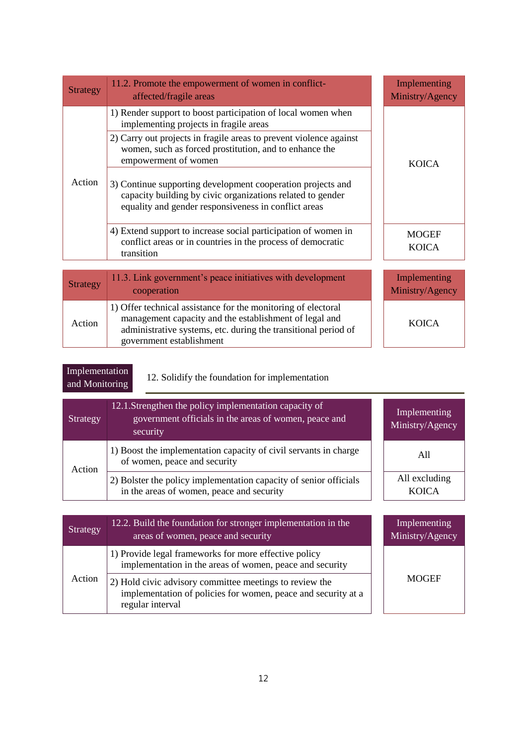| <b>Strategy</b> | 11.2. Promote the empowerment of women in conflict-<br>affected/fragile areas                                                                                                     | Implementing<br>Ministry/Agency |
|-----------------|-----------------------------------------------------------------------------------------------------------------------------------------------------------------------------------|---------------------------------|
| Action          | 1) Render support to boost participation of local women when<br>implementing projects in fragile areas                                                                            |                                 |
|                 | 2) Carry out projects in fragile areas to prevent violence against<br>women, such as forced prostitution, and to enhance the<br>empowerment of women                              | <b>KOICA</b>                    |
|                 | 3) Continue supporting development cooperation projects and<br>capacity building by civic organizations related to gender<br>equality and gender responsiveness in conflict areas |                                 |
|                 | 4) Extend support to increase social participation of women in<br>conflict areas or in countries in the process of democratic<br>transition                                       | <b>MOGEF</b><br><b>KOICA</b>    |
| <b>Strategy</b> | 11.3. Link government's peace initiatives with development<br>cooperation                                                                                                         | Implementing<br>Ministry/Agency |
| Action          | 1) Offer technical assistance for the monitoring of electoral<br>management capacity and the establishment of legal and                                                           | <b>KOICA</b>                    |

| Implementation |  |
|----------------|--|
| and Monitoring |  |

12. Solidify the foundation for implementation

administrative systems, etc. during the transitional period of

government establishment

| Strategy | 12.1. Strengthen the policy implementation capacity of<br>government officials in the areas of women, peace and<br>security | Implementing<br>Ministry/Agency |
|----------|-----------------------------------------------------------------------------------------------------------------------------|---------------------------------|
| Action   | 1) Boost the implementation capacity of civil servants in charge<br>of women, peace and security                            | A11                             |
|          | 2) Bolster the policy implementation capacity of senior officials<br>in the areas of women, peace and security              | All excluding<br><b>KOICA</b>   |

| Strategy | 12.2. Build the foundation for stronger implementation in the<br>areas of women, peace and security                                          | Implementing<br>Ministry/Agency |
|----------|----------------------------------------------------------------------------------------------------------------------------------------------|---------------------------------|
| Action   | 1) Provide legal frameworks for more effective policy<br>implementation in the areas of women, peace and security                            |                                 |
|          | 2) Hold civic advisory committee meetings to review the<br>implementation of policies for women, peace and security at a<br>regular interval | <b>MOGEF</b>                    |